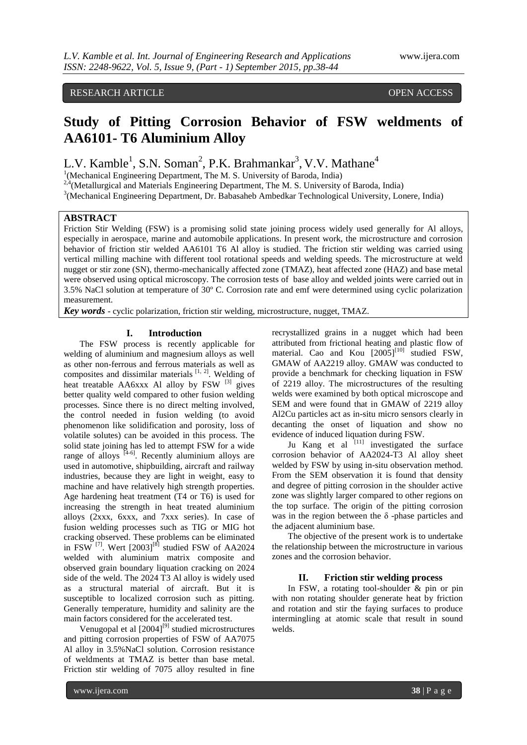### RESEARCH ARTICLE **CONSERVERS** OPEN ACCESS

## **Study of Pitting Corrosion Behavior of FSW weldments of AA6101- T6 Aluminium Alloy**

L.V. Kamble<sup>1</sup>, S.N. Soman<sup>2</sup>, P.K. Brahmankar<sup>3</sup>, V.V. Mathane<sup>4</sup>

<sup>1</sup>(Mechanical Engineering Department, The M. S. University of Baroda, India)

<sup>2,4</sup>(Metallurgical and Materials Engineering Department, The M. S. University of Baroda, India)

<sup>3</sup>(Mechanical Engineering Department, Dr. Babasaheb Ambedkar Technological University, Lonere, India)

#### **ABSTRACT**

Friction Stir Welding (FSW) is a promising solid state joining process widely used generally for Al alloys, especially in aerospace, marine and automobile applications. In present work, the microstructure and corrosion behavior of friction stir welded AA6101 T6 Al alloy is studied. The friction stir welding was carried using vertical milling machine with different tool rotational speeds and welding speeds. The microstructure at weld nugget or stir zone (SN), thermo-mechanically affected zone (TMAZ), heat affected zone (HAZ) and base metal were observed using optical microscopy. The corrosion tests of base alloy and welded joints were carried out in 3.5% NaCl solution at temperature of 30º C. Corrosion rate and emf were determined using cyclic polarization measurement.

*Key words* - cyclic polarization, friction stir welding, microstructure, nugget, TMAZ.

#### **I. Introduction**

The FSW process is recently applicable for welding of aluminium and magnesium alloys as well as other non-ferrous and ferrous materials as well as composites and dissimilar materials  $[1, 2]$ . Welding of heat treatable AA6xxx Al alloy by  $FSW$ <sup>[3]</sup> gives better quality weld compared to other fusion welding processes. Since there is no direct melting involved, the control needed in fusion welding (to avoid phenomenon like solidification and porosity, loss of volatile solutes) can be avoided in this process. The solid state joining has led to attempt FSW for a wide range of alloys  $[4-6]$ . Recently aluminium alloys are used in automotive, shipbuilding, aircraft and railway industries, because they are light in weight, easy to machine and have relatively high strength properties. Age hardening heat treatment (T4 or T6) is used for increasing the strength in heat treated aluminium alloys (2xxx, 6xxx, and 7xxx series). In case of fusion welding processes such as TIG or MIG hot cracking observed. These problems can be eliminated in FSW  $^{[7]}$ . Wert  $[2003]^{[8]}$  studied FSW of AA2024 welded with aluminium matrix composite and observed grain boundary liquation cracking on 2024 side of the weld. The 2024 T3 Al alloy is widely used as a structural material of aircraft. But it is susceptible to localized corrosion such as pitting. Generally temperature, humidity and salinity are the main factors considered for the accelerated test.

Venugopal et al  $[2004]^{[9]}$  studied microstructures and pitting corrosion properties of FSW of AA7075 Al alloy in 3.5%NaCl solution. Corrosion resistance of weldments at TMAZ is better than base metal. Friction stir welding of 7075 alloy resulted in fine

recrystallized grains in a nugget which had been attributed from frictional heating and plastic flow of material. Cao and Kou  $[2005]^{[10]}$  studied FSW, GMAW of AA2219 alloy. GMAW was conducted to provide a benchmark for checking liquation in FSW of 2219 alloy. The microstructures of the resulting welds were examined by both optical microscope and SEM and were found that in GMAW of 2219 alloy Al2Cu particles act as in-situ micro sensors clearly in decanting the onset of liquation and show no evidence of induced liquation during FSW.

Ju Kang et al  $\begin{bmatrix} 111 \\ 111 \end{bmatrix}$  investigated the surface corrosion behavior of AA2024-T3 Al alloy sheet welded by FSW by using in-situ observation method. From the SEM observation it is found that density and degree of pitting corrosion in the shoulder active zone was slightly larger compared to other regions on the top surface. The origin of the pitting corrosion was in the region between the  $\delta$  -phase particles and the adjacent aluminium base.

The objective of the present work is to undertake the relationship between the microstructure in various zones and the corrosion behavior.

#### **II. Friction stir welding process**

In FSW, a rotating tool-shoulder & pin or pin with non rotating shoulder generate heat by friction and rotation and stir the faying surfaces to produce intermingling at atomic scale that result in sound welds.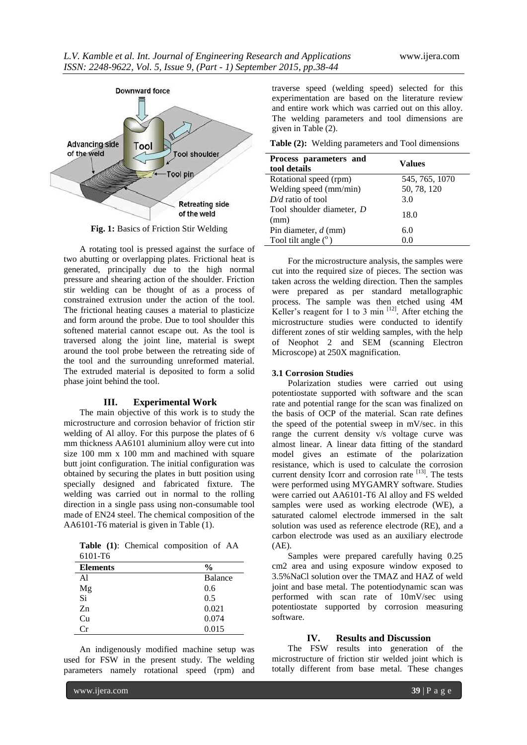

**Fig. 1:** Basics of Friction Stir Welding

A rotating tool is pressed against the surface of two abutting or overlapping plates. Frictional heat is generated, principally due to the high normal pressure and shearing action of the shoulder. Friction stir welding can be thought of as a process of constrained extrusion under the action of the tool. The frictional heating causes a material to plasticize and form around the probe. Due to tool shoulder this softened material cannot escape out. As the tool is traversed along the joint line, material is swept around the tool probe between the retreating side of the tool and the surrounding unreformed material. The extruded material is deposited to form a solid phase joint behind the tool.

#### **III. Experimental Work**

The main objective of this work is to study the microstructure and corrosion behavior of friction stir welding of Al alloy. For this purpose the plates of 6 mm thickness AA6101 aluminium alloy were cut into size 100 mm x 100 mm and machined with square butt joint configuration. The initial configuration was obtained by securing the plates in butt position using specially designed and fabricated fixture. The welding was carried out in normal to the rolling direction in a single pass using non-consumable tool made of EN24 steel. The chemical composition of the AA6101-T6 material is given in Table (1).

**Table (1)**: Chemical composition of AA 6101-T6

| <b>Elements</b> | $\frac{0}{0}$  |
|-----------------|----------------|
| Al              | <b>Balance</b> |
| Mg              | 0.6            |
| Si              | 0.5            |
| Z <sub>n</sub>  | 0.021          |
| Cu              | 0.074          |
| Сr              | 0.015          |

An indigenously modified machine setup was used for FSW in the present study. The welding parameters namely rotational speed (rpm) and traverse speed (welding speed) selected for this experimentation are based on the literature review and entire work which was carried out on this alloy. The welding parameters and tool dimensions are given in Table (2).

**Table (2):** Welding parameters and Tool dimensions

| Process parameters and<br>tool details | Values         |
|----------------------------------------|----------------|
| Rotational speed (rpm)                 | 545, 765, 1070 |
| Welding speed (mm/min)                 | 50, 78, 120    |
| $D/d$ ratio of tool                    | 3.0            |
| Tool shoulder diameter, D<br>(mm)      | 18.0           |
| Pin diameter, $d$ (mm)                 | 6.0            |
| Tool tilt angle $(°)$                  | 0.0            |

For the microstructure analysis, the samples were cut into the required size of pieces. The section was taken across the welding direction. Then the samples were prepared as per standard metallographic process. The sample was then etched using 4M Keller's reagent for 1 to 3 min  $^{[12]}$ . After etching the microstructure studies were conducted to identify different zones of stir welding samples, with the help of Neophot 2 and SEM (scanning Electron Microscope) at 250X magnification.

#### **3.1 Corrosion Studies**

Polarization studies were carried out using potentiostate supported with software and the scan rate and potential range for the scan was finalized on the basis of OCP of the material. Scan rate defines the speed of the potential sweep in mV/sec. in this range the current density v/s voltage curve was almost linear. A linear data fitting of the standard model gives an estimate of the polarization resistance, which is used to calculate the corrosion current density Icorr and corrosion rate  $[13]$ . The tests were performed using MYGAMRY software. Studies were carried out AA6101-T6 Al alloy and FS welded samples were used as working electrode (WE), a saturated calomel electrode immersed in the salt solution was used as reference electrode (RE), and a carbon electrode was used as an auxiliary electrode (AE).

Samples were prepared carefully having 0.25 cm2 area and using exposure window exposed to 3.5%NaCl solution over the TMAZ and HAZ of weld joint and base metal. The potentiodynamic scan was performed with scan rate of 10mV/sec using potentiostate supported by corrosion measuring software.

#### **IV. Results and Discussion**

The FSW results into generation of the microstructure of friction stir welded joint which is totally different from base metal. These changes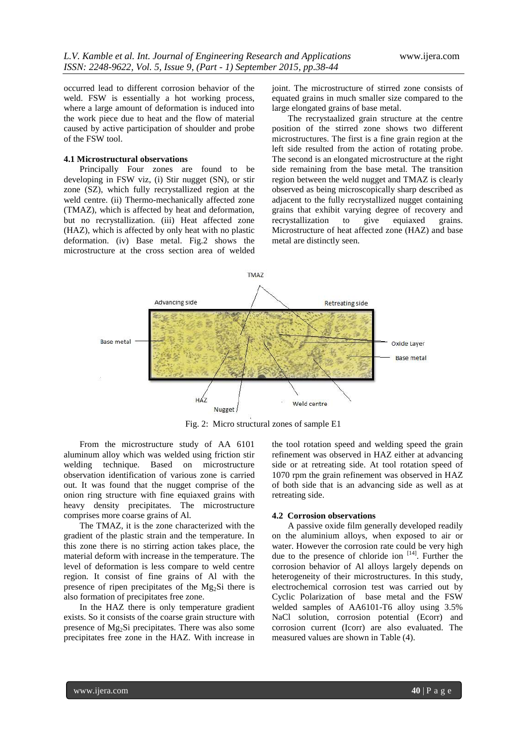occurred lead to different corrosion behavior of the weld. FSW is essentially a hot working process, where a large amount of deformation is induced into the work piece due to heat and the flow of material caused by active participation of shoulder and probe of the FSW tool.

#### **4.1 Microstructural observations**

Principally Four zones are found to be developing in FSW viz, (i) Stir nugget (SN), or stir zone (SZ), which fully recrystallized region at the weld centre. (ii) Thermo-mechanically affected zone (TMAZ), which is affected by heat and deformation, but no recrystallization. (iii) Heat affected zone (HAZ), which is affected by only heat with no plastic deformation. (iv) Base metal. Fig.2 shows the microstructure at the cross section area of welded joint. The microstructure of stirred zone consists of equated grains in much smaller size compared to the large elongated grains of base metal.

The recrystaalized grain structure at the centre position of the stirred zone shows two different microstructures. The first is a fine grain region at the left side resulted from the action of rotating probe. The second is an elongated microstructure at the right side remaining from the base metal. The transition region between the weld nugget and TMAZ is clearly observed as being microscopically sharp described as adjacent to the fully recrystallized nugget containing grains that exhibit varying degree of recovery and recrystallization to give equiaxed grains. Microstructure of heat affected zone (HAZ) and base metal are distinctly seen.



Fig. 2: Micro structural zones of sample E1

From the microstructure study of AA 6101 aluminum alloy which was welded using friction stir welding technique. Based on microstructure observation identification of various zone is carried out. It was found that the nugget comprise of the onion ring structure with fine equiaxed grains with heavy density precipitates. The microstructure comprises more coarse grains of Al.

The TMAZ, it is the zone characterized with the gradient of the plastic strain and the temperature. In this zone there is no stirring action takes place, the material deform with increase in the temperature. The level of deformation is less compare to weld centre region. It consist of fine grains of Al with the presence of ripen precipitates of the Mg2Si there is also formation of precipitates free zone.

In the HAZ there is only temperature gradient exists. So it consists of the coarse grain structure with presence of Mg2Si precipitates. There was also some precipitates free zone in the HAZ. With increase in

the tool rotation speed and welding speed the grain refinement was observed in HAZ either at advancing side or at retreating side. At tool rotation speed of 1070 rpm the grain refinement was observed in HAZ of both side that is an advancing side as well as at retreating side.

#### **4.2 Corrosion observations**

A passive oxide film generally developed readily on the aluminium alloys, when exposed to air or water. However the corrosion rate could be very high due to the presence of chloride ion  $[14]$ . Further the corrosion behavior of Al alloys largely depends on heterogeneity of their microstructures. In this study, electrochemical corrosion test was carried out by Cyclic Polarization of base metal and the FSW welded samples of AA6101-T6 alloy using 3.5% NaCl solution, corrosion potential (Ecorr) and corrosion current (Icorr) are also evaluated. The measured values are shown in Table (4).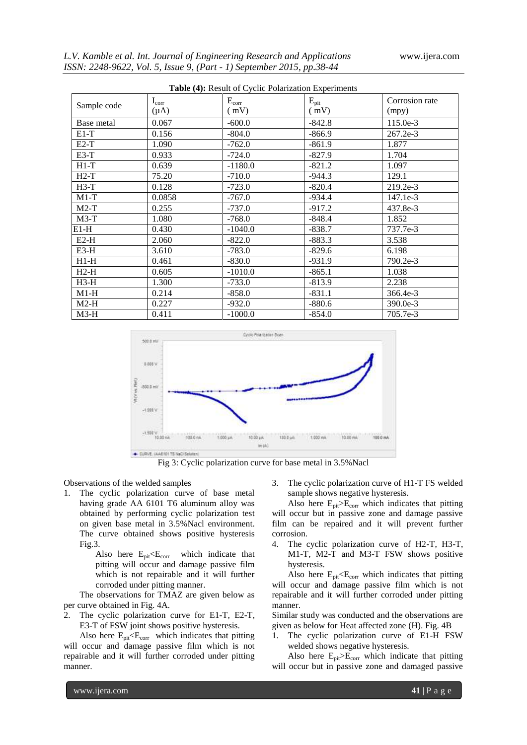| <b>Table (4):</b> Result of Cyclic Polarization Experiments |                         |                    |                          |                         |  |  |
|-------------------------------------------------------------|-------------------------|--------------------|--------------------------|-------------------------|--|--|
| Sample code                                                 | $I_{corr}$<br>$(\mu A)$ | $E_{corr}$<br>(mV) | $E_{\text{pit}}$<br>(mV) | Corrosion rate<br>(mpy) |  |  |
| Base metal                                                  | 0.067                   | $-600.0$           | $-842.8$                 | $115.0e-3$              |  |  |
| $E1-T$                                                      | 0.156                   | $-804.0$           | $-866.9$                 | 267.2e-3                |  |  |
| $E2-T$                                                      | 1.090                   | $-762.0$           | $-861.9$                 | 1.877                   |  |  |
| $E3-T$                                                      | 0.933                   | $-724.0$           | $-827.9$                 | 1.704                   |  |  |
| $H1-T$                                                      | 0.639                   | $-1180.0$          | $-821.2$                 | 1.097                   |  |  |
| $H2-T$                                                      | 75.20                   | $-710.0$           | $-944.3$                 | 129.1                   |  |  |
| $H3-T$                                                      | 0.128                   | $-723.0$           | $-820.4$                 | 219.2e-3                |  |  |
| $M1-T$                                                      | 0.0858                  | $-767.0$           | $-934.4$                 | $147.1e-3$              |  |  |
| $M2-T$                                                      | 0.255                   | $-737.0$           | $-917.2$                 | 437.8e-3                |  |  |
| $M3-T$                                                      | 1.080                   | $-768.0$           | -848.4                   | 1.852                   |  |  |
| $E1-H$                                                      | 0.430                   | $-1040.0$          | $-838.7$                 | 737.7e-3                |  |  |
| $E2-H$                                                      | 2.060                   | $-822.0$           | $-883.3$                 | 3.538                   |  |  |
| $E3-H$                                                      | 3.610                   | $-783.0$           | $-829.6$                 | 6.198                   |  |  |
| $H1-H$                                                      | 0.461                   | $-830.0$           | $-931.9$                 | 790.2e-3                |  |  |
| $H2-H$                                                      | 0.605                   | $-1010.0$          | $-865.1$                 | 1.038                   |  |  |
| $H3-H$                                                      | 1.300                   | $-733.0$           | $-813.9$                 | 2.238                   |  |  |
| $M1-H$                                                      | 0.214                   | $-858.0$           | $-831.1$                 | 366.4e-3                |  |  |
| $M2-H$                                                      | 0.227                   | $-932.0$           | $-880.6$                 | $390.0e-3$              |  |  |
| $M3-H$                                                      | 0.411                   | $-1000.0$          | $-854.0$                 | 705.7e-3                |  |  |



Fig 3: Cyclic polarization curve for base metal in 3.5%Nacl

Observations of the welded samples

1. The cyclic polarization curve of base metal having grade AA 6101 T6 aluminum alloy was obtained by performing cyclic polarization test on given base metal in 3.5%Nacl environment. The curve obtained shows positive hysteresis Fig.3.

> Also here  $E_{pit} E_{corr}$  which indicate that pitting will occur and damage passive film which is not repairable and it will further corroded under pitting manner.

The observations for TMAZ are given below as per curve obtained in Fig. 4A.

2. The cyclic polarization curve for E1-T, E2-T, E3-T of FSW joint shows positive hysteresis.

Also here  $E_{pit} E_{corr}$  which indicates that pitting will occur and damage passive film which is not repairable and it will further corroded under pitting manner.

3. The cyclic polarization curve of H1-T FS welded sample shows negative hysteresis.

Also here  $E_{pit} > E_{corr}$  which indicates that pitting will occur but in passive zone and damage passive film can be repaired and it will prevent further corrosion.

4. The cyclic polarization curve of H2-T, H3-T, M1-T, M2-T and M3-T FSW shows positive hysteresis.

Also here  $E_{pit} E_{corr}$  which indicates that pitting will occur and damage passive film which is not repairable and it will further corroded under pitting manner.

Similar study was conducted and the observations are given as below for Heat affected zone (H). Fig. 4B

1. The cyclic polarization curve of E1-H FSW welded shows negative hysteresis.

Also here  $E_{\text{pit}}\!\!\geq\!\!E_{\text{corr}}$  which indicate that pitting will occur but in passive zone and damaged passive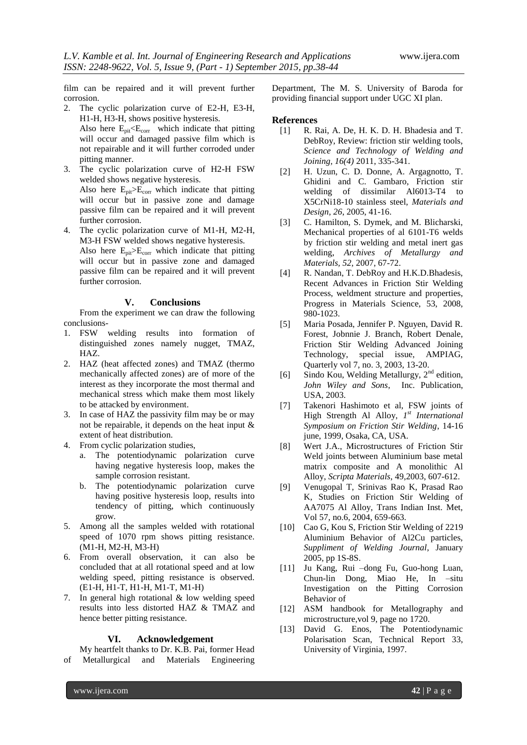film can be repaired and it will prevent further corrosion.

- 2. The cyclic polarization curve of E2-H, E3-H, H1-H, H3-H, shows positive hysteresis. Also here  $E_{pit} E_{corr}$  which indicate that pitting will occur and damaged passive film which is not repairable and it will further corroded under pitting manner.
- 3. The cyclic polarization curve of H2-H FSW welded shows negative hysteresis. Also here  $E_{\text{nit}}\geq E_{\text{corr}}$  which indicate that pitting will occur but in passive zone and damage passive film can be repaired and it will prevent further corrosion.
- 4. The cyclic polarization curve of M1-H, M2-H, M3-H FSW welded shows negative hysteresis. Also here Epit>Ecorr which indicate that pitting will occur but in passive zone and damaged passive film can be repaired and it will prevent further corrosion.

#### **V. Conclusions**

From the experiment we can draw the following conclusions-

- 1. FSW welding results into formation of distinguished zones namely nugget, TMAZ, HAZ.
- 2. HAZ (heat affected zones) and TMAZ (thermo mechanically affected zones) are of more of the interest as they incorporate the most thermal and mechanical stress which make them most likely to be attacked by environment.
- 3. In case of HAZ the passivity film may be or may not be repairable, it depends on the heat input & extent of heat distribution.
- 4. From cyclic polarization studies,
	- a. The potentiodynamic polarization curve having negative hysteresis loop, makes the sample corrosion resistant.
	- b. The potentiodynamic polarization curve having positive hysteresis loop, results into tendency of pitting, which continuously grow.
- 5. Among all the samples welded with rotational speed of 1070 rpm shows pitting resistance. (M1-H, M2-H, M3-H)
- 6. From overall observation, it can also be concluded that at all rotational speed and at low welding speed, pitting resistance is observed. (E1-H, H1-T, H1-H, M1-T, M1-H)
- 7. In general high rotational & low welding speed results into less distorted HAZ & TMAZ and hence better pitting resistance.

#### **VI. Acknowledgement**

My heartfelt thanks to Dr. K.B. Pai, former Head of Metallurgical and Materials Engineering Department, The M. S. University of Baroda for providing financial support under UGC XI plan.

# **References**<br>[1] R. F

- [1] R. Rai, A. De, H. K. D. H. Bhadesia and T. DebRoy, Review: friction stir welding tools, *Science and Technology of Welding and Joining, 16(4)* 2011, 335-341.
- [2] H. Uzun, C. D. Donne, A. Argagnotto, T. Ghidini and C. Gambaro, Friction stir welding of dissimilar Al6013-T4 to X5CrNi18-10 stainless steel, *Materials and Design, 26*, 2005, 41-16.
- [3] C. Hamilton, S. Dymek, and M. Blicharski, Mechanical properties of al 6101-T6 welds by friction stir welding and metal inert gas welding, *Archives of Metallurgy and Materials, 52*, 2007, 67-72.
- [4] R. Nandan, T. DebRoy and H.K.D. Bhadesis, Recent Advances in Friction Stir Welding Process, weldment structure and properties, Progress in Materials Science, 53, 2008, 980-1023.
- [5] Maria Posada, Jennifer P. Nguyen, David R. Forest, Jobnnie J. Branch, Robert Denale, Friction Stir Welding Advanced Joining Technology, special issue, AMPIAG, Quarterly vol 7, no. 3, 2003, 13-20.
- [6] Sindo Kou, Welding Metallurgy,  $2<sup>nd</sup>$  edition, *John Wiley and Sons*, Inc. Publication, USA, 2003.
- [7] Takenori Hashimoto et al, FSW joints of High Strength Al Alloy, *1 st International Symposium on Friction Stir Welding*, 14-16 june, 1999, Osaka, CA, USA.
- [8] Wert J.A., Microstructures of Friction Stir Weld joints between Aluminium base metal matrix composite and A monolithic Al Alloy, *Scripta Materials*, 49,2003, 607-612.
- [9] Venugopal T, Srinivas Rao K, Prasad Rao K, Studies on Friction Stir Welding of AA7075 Al Alloy, Trans Indian Inst. Met, Vol 57, no.6, 2004, 659-663.
- [10] Cao G, Kou S, Friction Stir Welding of 2219 Aluminium Behavior of Al2Cu particles, *Suppliment of Welding Journal*, January 2005, pp 1S-8S.
- [11] Ju Kang, Rui –dong Fu, Guo-hong Luan, Chun-lin Dong, Miao He, In –situ Investigation on the Pitting Corrosion Behavior of
- [12] ASM handbook for Metallography and microstructure,vol 9, page no 1720.
- [13] David G. Enos, The Potentiodynamic Polarisation Scan, Technical Report 33, University of Virginia, 1997.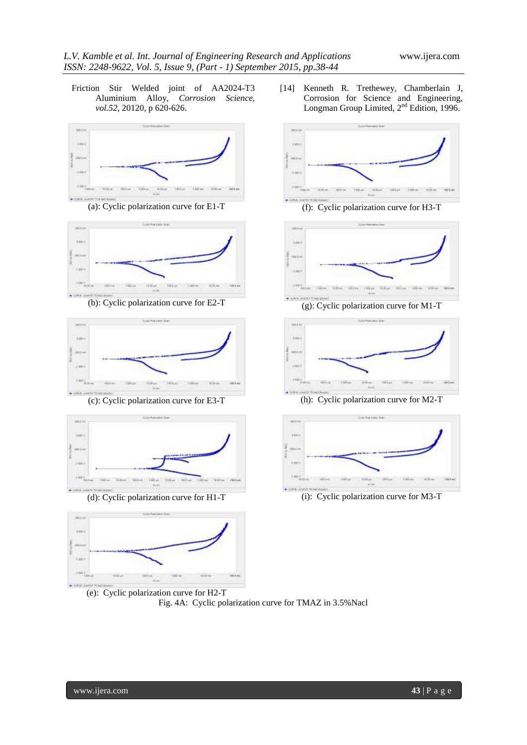Friction Stir Welded joint of AA2024-T3 Aluminium Alloy, *Corrosion Science, vol.52*, 20120, p 620-626.











(e): Cyclic polarization curve for H2-T Fig. 4A: Cyclic polarization curve for TMAZ in 3.5% Nacl

[14] Kenneth R. Trethewey, Chamberlain J, Corrosion for Science and Engineering, Longman Group Limited, 2<sup>nd</sup> Edition, 1996.



(a): Cyclic polarization curve for E1-T (f): Cyclic polarization curve for H3-T



(b): Cyclic polarization curve for E2-T (g): Cyclic polarization curve for M1-T



(c): Cyclic polarization curve for E3-T (h): Cyclic polarization curve for M2-T



(d): Cyclic polarization curve for H1-T (i): Cyclic polarization curve for M3-T